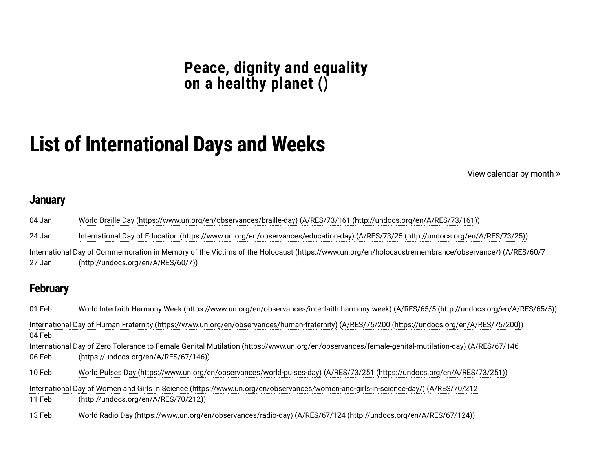## **Peace, dignity and [equality](https://www.un.org/en/observances/list-days-weeks) on a healthy planet ()**

# **List of International Days and Weeks**

View [calendar](https://www.un.org/en/observances/international-days-and-weeks) by month

#### **January**

| 04 Jan          | World Braille Day (https://www.un.org/en/observances/braille-day) (A/RES/73/161 (http://undocs.org/en/A/RES/73/161))                              |
|-----------------|---------------------------------------------------------------------------------------------------------------------------------------------------|
| 24 Jan          | International Day of Education (https://www.un.org/en/observances/education-day) (A/RES/73/25 (http://undocs.org/en/A/RES/73/25))                 |
|                 | International Day of Commemoration in Memory of the Victims of the Holocaust (https://www.un.org/en/holocaustremembrance/observance/) (A/RES/60/7 |
| 27 Jan          | (http://undocs.org/en/A/RES/60/7))                                                                                                                |
| <b>February</b> |                                                                                                                                                   |
| 01 Feb          | World Interfaith Harmony Week (https://www.un.org/en/observances/interfaith-harmony-week) (A/RES/65/5 (http://undocs.org/en/A/RES/65/5))          |
|                 | International Day of Human Fraternity (https://www.un.org/en/observances/human-fraternity) (A/RES/75/200 (https://undocs.org/en/A/RES/75/200))    |
| 04 Feb          |                                                                                                                                                   |
|                 | International Day of Zero Tolerance to Female Genital Mutilation (https://www.un.org/en/observances/female-genital-mutilation-day) (A/RES/67/146  |
| 06 Feb          | (https://undocs.org/en/A/RES/67/146))                                                                                                             |
| 10 Feb          | World Pulses Day (https://www.un.org/en/observances/world-pulses-day) (A/RES/73/251 (https://undocs.org/en/A/RES/73/251))                         |
|                 | International Day of Women and Girls in Science (https://www.un.org/en/observances/women-and-girls-in-science-day/) (A/RES/70/212                 |
| 11 Feb          | (http://undocs.org/en/A/RES/70/212))                                                                                                              |
| 13 Feb          | World Radio Day (https://www.un.org/en/observances/radio-day) (A/RES/67/124 (http://undocs.org/en/A/RES/67/124))                                  |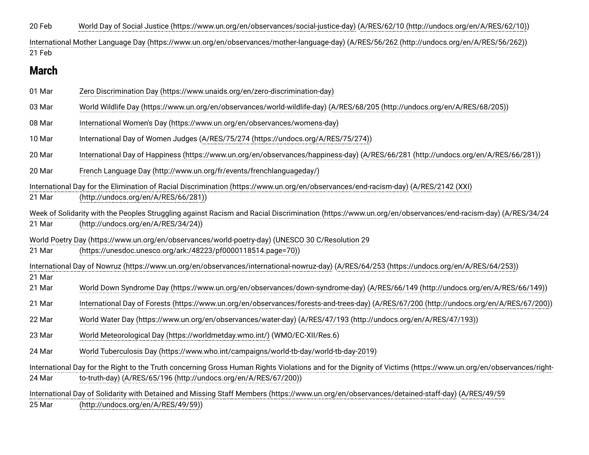20 Feb 01 Mar 03 Mar 08 Mar 10 Mar 20 Mar 20 Mar 21 Mar 21 Mar 21 Mar 21 Mar 21 Mar 22 Mar 23 Mar 24 Mar 24 Mar 25 Mar 21 Feb 21 Mar [World Day of Social Justice \(https://www.un.org/en/observances/social-justice-day\)](https://www.un.org/en/observances/social-justice-day) [\(A/RES/62/10 \(http://undocs.org/en/A/RES/62/10\)](http://undocs.org/en/A/RES/62/10)) [International Mother Language Day \(https://www.un.org/en/observances/mother-language-day\)](https://www.un.org/en/observances/mother-language-day) [\(A/RES/56/262 \(http://undocs.org/en/A/RES/56/262\)](http://undocs.org/en/A/RES/56/262)) **March** [Zero Discrimination Day \(https://www.unaids.org/en/zero-discrimination-day\)](https://www.unaids.org/en/zero-discrimination-day) [World Wildlife Day \(https://www.un.org/en/observances/world-wildlife-day\)](https://www.un.org/en/observances/world-wildlife-day) [\(A/RES/68/205 \(http://undocs.org/en/A/RES/68/205\)](http://undocs.org/en/A/RES/68/205)) [International Women's Day \(https://www.un.org/en/observances/womens-day\)](https://www.un.org/en/observances/womens-day) International Day of Women Judges [\(A/RES/75/274 \(https://undocs.org/A/RES/75/274\)\)](https://undocs.org/A/RES/75/274) [International Day of Happiness \(https://www.un.org/en/observances/happiness-day\)](https://www.un.org/en/observances/happiness-day) [\(A/RES/66/281 \(http://undocs.org/en/A/RES/66/281\)](http://undocs.org/en/A/RES/66/281)) [French Language Day \(http://www.un.org/fr/events/frenchlanguageday/\)](http://www.un.org/fr/events/frenchlanguageday/) [International Day for the Elimination of Racial Discrimination \(https://www.un.org/en/observances/end-racism-day\)](https://www.un.org/en/observances/end-racism-day) (A/RES/2142 (XXI) (http://undocs.org/en/A/RES/66/281)) [Week of Solidarity with the Peoples Struggling against Racism and Racial Discrimination \(https://www.un.org/en/observances/end-racism-day](https://www.un.org/en/observances/end-racism-day)[\)](http://undocs.org/en/A/RES/34/24) (A/RES/34/24 (http://undocs.org/en/A/RES/34/24)) [World Poetry Day \(https://www.un.org/en/observances/world-poetry-day\)](https://www.un.org/en/observances/world-poetry-day) (UNESCO 30 C/Resolution 29 [\(https://unesdoc.unesco.org/ark:/48223/pf0000118514.page=70\)\)](https://unesdoc.unesco.org/ark:/48223/pf0000118514.page=70) [International Day of Nowruz \(https://www.un.org/en/observances/international-nowruz-day\)](https://www.un.org/en/observances/international-nowruz-day) [\(A/RES/64/253 \(https://undocs.org/en/A/RES/64/253\)\)](https://undocs.org/en/A/RES/64/253) [World Down Syndrome Day \(https://www.un.org/en/observances/down-syndrome-day\)](https://www.un.org/en/observances/down-syndrome-day) [\(A/RES/66/149 \(http://undocs.org/en/A/RES/66/149\)\)](http://undocs.org/en/A/RES/66/149) [International Day of Forests \(https://www.un.org/en/observances/forests-and-trees-day\)](https://www.un.org/en/observances/forests-and-trees-day) [\(A/RES/67/200 \(http://undocs.org/en/A/RES/67/200\)\)](http://undocs.org/en/A/RES/67/200) [World Water Day \(https://www.un.org/en/observances/water-day\)](https://www.un.org/en/observances/water-day) [\(A/RES/47/193 \(http://undocs.org/en/A/RES/47/193\)\)](http://undocs.org/en/A/RES/47/193) [World Meteorological Day \(https://worldmetday.wmo.int/\)](https://worldmetday.wmo.int/) (WMO/EC-XII/Res.6) [World Tuberculosis Day \(https://www.who.int/campaigns/world-tb-day/world-tb-day-2019\)](https://www.who.int/campaigns/world-tb-day/world-tb-day-2019) [International Day for the Right to the Truth concerning Gross Human Rights Violations and for the Dignity of Victims \(https://www.un.org/en/observances/right](https://www.un.org/en/observances/right-to-truth-day)to-truth-day) [\(A/RES/65/196 \(http://undocs.org/en/A/RES/67/200\)\)](http://undocs.org/en/A/RES/67/200) [International Day of Solidarity with Detained and Missing Staff Members \(https://www.un.org/en/observances/detained-staff-day\)](https://www.un.org/en/observances/detained-staff-day) (A/RES/49/59 (http://undocs.org/en/A/RES/49/59))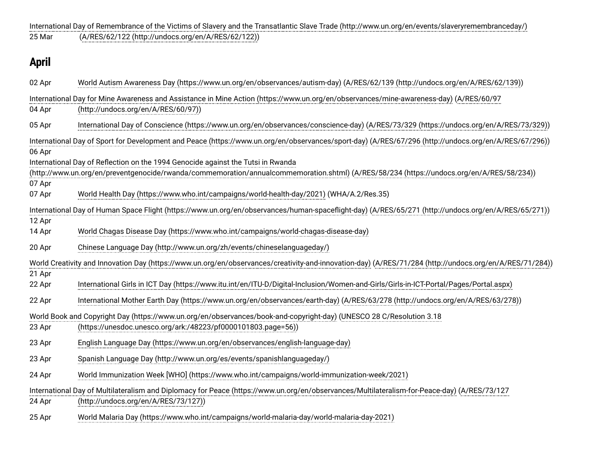25 Mar 02 Apr 04 Apr 05 Apr 07 Apr 14 Apr 20 Apr 22 Apr 22 Apr 23 Apr 23 Apr 23 Apr 24 Apr 24 Apr 06 Apr 07 Apr 12 Apr 21 Apr [International Day of Remembrance of the Victims of Slavery and the Transatlantic Slave Trade \(http://www.un.org/en/events/slaveryremembranceday/\)](http://www.un.org/en/events/slaveryremembranceday/) ([A/RES/62/122 \(http://undocs.org/en/A/RES/62/122\)\)](http://undocs.org/en/A/RES/62/122) **April** [World Autism Awareness Day \(https://www.un.org/en/observances/autism-day\)](https://www.un.org/en/observances/autism-day) [\(A/RES/62/139 \(http://undocs.org/en/A/RES/62/139\)](http://undocs.org/en/A/RES/62/139)) [International Day for Mine Awareness and Assistance in Mine Action \(https://www.un.org/en/observances/mine-awareness-day\)](https://www.un.org/en/observances/mine-awareness-day) (A/RES/60/97 (http://undocs.org/en/A/RES/60/97)) [International Day of Conscience \(https://www.un.org/en/observances/conscience-day\)](https://www.un.org/en/observances/conscience-day) ([A/RES/73/329 \(https://undocs.org/en/A/RES/73/329\)](https://undocs.org/en/A/RES/73/329)) [International Day of Sport for Development and Peace \(https://www.un.org/en/observances/sport-day\)](https://www.un.org/en/observances/sport-day) ([A/RES/67/296 \(http://undocs.org/en/A/RES/67/296\)](http://undocs.org/en/A/RES/67/296)) International Day of Reflection on the 1994 Genocide against the Tutsi in Rwanda [\(http://www.un.org/en/preventgenocide/rwanda/commemoration/annualcommemoration.shtml\)](http://www.un.org/en/preventgenocide/rwanda/commemoration/annualcommemoration.shtml) ([A/RES/58/234 \(https://undocs.org/en/A/RES/58/234\)\)](https://undocs.org/en/A/RES/58/234) [World Health Day \(https://www.who.int/campaigns/world-health-day/2021\)](https://www.who.int/campaigns/world-health-day/2021) (WHA/A.2/Res.35) [International Day of Human Space Flight \(https://www.un.org/en/observances/human-spaceflight-day\)](https://www.un.org/en/observances/human-spaceflight-day) [\(A/RES/65/271 \(http://undocs.org/en/A/RES/65/271\)\)](http://undocs.org/en/A/RES/65/271) [World Chagas Disease Day \(https://www.who.int/campaigns/world-chagas-disease-day\)](https://www.who.int/campaigns/world-chagas-disease-day) [Chinese Language Day \(http://www.un.org/zh/events/chineselanguageday/\)](http://www.un.org/zh/events/chineselanguageday/) [World Creativity and Innovation Day \(https://www.un.org/en/observances/creativity-and-innovation-day\)](https://www.un.org/en/observances/creativity-and-innovation-day) [\(A/RES/71/284 \(http://undocs.org/en/A/RES/71/284\)\)](http://undocs.org/en/A/RES/71/284) [International Girls in ICT Day \(https://www.itu.int/en/ITU-D/Digital-Inclusion/Women-and-Girls/Girls-in-ICT-Portal/Pages/Portal.aspx\)](https://www.itu.int/en/ITU-D/Digital-Inclusion/Women-and-Girls/Girls-in-ICT-Portal/Pages/Portal.aspx) [International Mother Earth Day \(https://www.un.org/en/observances/earth-day\)](https://www.un.org/en/observances/earth-day) [\(A/RES/63/278 \(http://undocs.org/en/A/RES/63/278\)\)](http://undocs.org/en/A/RES/63/278) [World Book and Copyright Day \(https://www.un.org/en/observances/book-and-copyright-day](https://www.un.org/en/observances/book-and-copyright-day)[\)](https://unesdoc.unesco.org/ark:/48223/pf0000101803.page=56) (UNESCO 28 C/Resolution 3.18 (https://unesdoc.unesco.org/ark:/48223/pf0000101803.page=56)) [English Language Day \(https://www.un.org/en/observances/english-language-day\)](https://www.un.org/en/observances/english-language-day) [Spanish Language Day \(http://www.un.org/es/events/spanishlanguageday/\)](http://www.un.org/es/events/spanishlanguageday/) [World Immunization Week \[WHO\] \(https://www.who.int/campaigns/world-immunization-week/2021\)](https://www.who.int/campaigns/world-immunization-week/2021) [International Day of Multilateralism and Diplomacy for Peace \(https://www.un.org/en/observances/Multilateralism-for-Peace-day\)](https://www.un.org/en/observances/Multilateralism-for-Peace-day) (A/RES/73/127 (http://undocs.org/en/A/RES/73/127))

25 Apr [World Malaria Day \(https://www.who.int/campaigns/world-malaria-day/world-malaria-day-2021\)](https://www.who.int/campaigns/world-malaria-day/world-malaria-day-2021)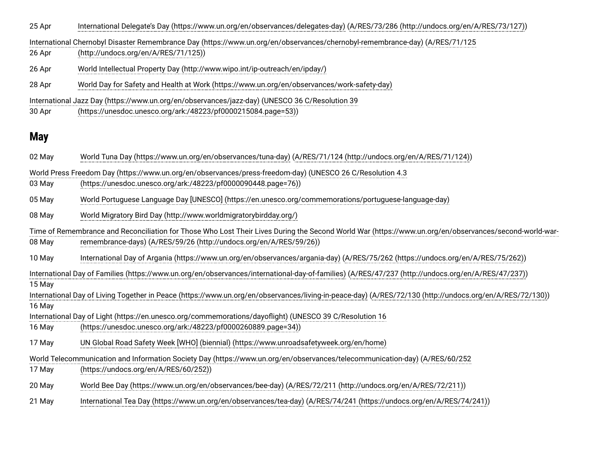25 Apr [International Delegate's Day \(https://www.un.org/en/observances/delegates-day\)](https://www.un.org/en/observances/delegates-day) [\(A/RES/73/286 \(http://undocs.org/en/A/RES/73/127\)](http://undocs.org/en/A/RES/73/127))

26 Apr [International Chernobyl Disaster Remembrance Day \(https://www.un.org/en/observances/chernobyl-remembrance-day\)](https://www.un.org/en/observances/chernobyl-remembrance-day) (A/RES/71/125 (http://undocs.org/en/A/RES/71/125))

26 Apr [World Intellectual Property Day \(http://www.wipo.int/ip-outreach/en/ipday/\)](http://www.wipo.int/ip-outreach/en/ipday/)

28 Apr [World Day for Safety and Health at Work \(https://www.un.org/en/observances/work-safety-day\)](https://www.un.org/en/observances/work-safety-day)

[International Jazz Day \(https://www.un.org/en/observances/jazz-day\)](https://www.un.org/en/observances/jazz-day) (UNESCO 36 C/Resolution 39

30 Apr [\(https://unesdoc.unesco.org/ark:/48223/pf0000215084.page=53\)\)](https://unesdoc.unesco.org/ark:/48223/pf0000215084.page=53)

### **May**

| 02 May                                                                                                                                                   | World Tuna Day (https://www.un.org/en/observances/tuna-day) (A/RES/71/124 (http://undocs.org/en/A/RES/71/124))                                         |
|----------------------------------------------------------------------------------------------------------------------------------------------------------|--------------------------------------------------------------------------------------------------------------------------------------------------------|
|                                                                                                                                                          | World Press Freedom Day (https://www.un.org/en/observances/press-freedom-day) (UNESCO 26 C/Resolution 4.3                                              |
| 03 May                                                                                                                                                   | (https://unesdoc.unesco.org/ark:/48223/pf0000090448.page=76))                                                                                          |
| 05 May                                                                                                                                                   | World Portuguese Language Day [UNESCO] (https://en.unesco.org/commemorations/portuguese-language-day)                                                  |
| 08 May                                                                                                                                                   | World Migratory Bird Day (http://www.worldmigratorybirdday.org/)                                                                                       |
|                                                                                                                                                          | Time of Remembrance and Reconciliation for Those Who Lost Their Lives During the Second World War (https://www.un.org/en/observances/second-world-war- |
| 08 May                                                                                                                                                   | remembrance-days) (A/RES/59/26 (http://undocs.org/en/A/RES/59/26))                                                                                     |
| 10 May                                                                                                                                                   | International Day of Argania (https://www.un.org/en/observances/argania-day) (A/RES/75/262 (https://undocs.org/en/A/RES/75/262))                       |
| International Day of Families (https://www.un.org/en/observances/international-day-of-families) (A/RES/47/237 (http://undocs.org/en/A/RES/47/237))       |                                                                                                                                                        |
| 15 May                                                                                                                                                   |                                                                                                                                                        |
| International Day of Living Together in Peace (https://www.un.org/en/observances/living-in-peace-day) (A/RES/72/130 (http://undocs.org/en/A/RES/72/130)) |                                                                                                                                                        |
| 16 May                                                                                                                                                   |                                                                                                                                                        |
|                                                                                                                                                          | International Day of Light (https://en.unesco.org/commemorations/dayoflight) (UNESCO 39 C/Resolution 16                                                |
| 16 May                                                                                                                                                   | (https://unesdoc.unesco.org/ark:/48223/pf0000260889.page=34))                                                                                          |
| 17 May                                                                                                                                                   | UN Global Road Safety Week [WHO] (biennial) (https://www.unroadsafetyweek.org/en/home)                                                                 |
| World Telecommunication and Information Society Day (https://www.un.org/en/observances/telecommunication-day) (A/RES/60/252                              |                                                                                                                                                        |
| 17 May                                                                                                                                                   | (https://undocs.org/en/A/RES/60/252))                                                                                                                  |
| 20 May                                                                                                                                                   | World Bee Day (https://www.un.org/en/observances/bee-day) (A/RES/72/211 (http://undocs.org/en/A/RES/72/211))                                           |
| 21 May                                                                                                                                                   | International Tea Day (https://www.un.org/en/observances/tea-day) (A/RES/74/241 (https://undocs.org/en/A/RES/74/241))                                  |
|                                                                                                                                                          |                                                                                                                                                        |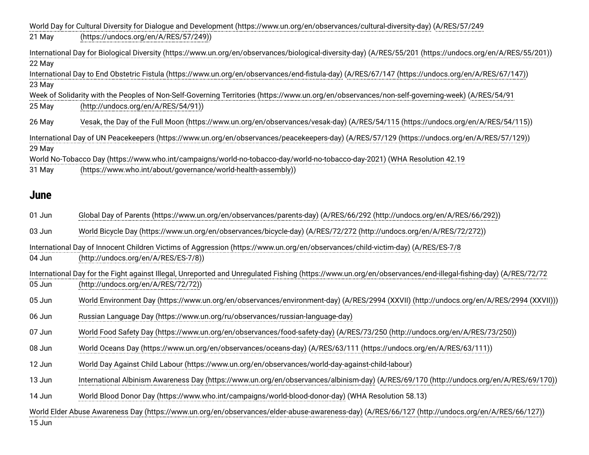|                                                                                                                                                  | World Day for Cultural Diversity for Dialogue and Development (https://www.un.org/en/observances/cultural-diversity-day) (A/RES/57/249                       |  |
|--------------------------------------------------------------------------------------------------------------------------------------------------|--------------------------------------------------------------------------------------------------------------------------------------------------------------|--|
| 21 May                                                                                                                                           | (https://undocs.org/en/A/RES/57/249))                                                                                                                        |  |
| 22 May                                                                                                                                           | International Day for Biological Diversity (https://www.un.org/en/observances/biological-diversity-day) (A/RES/55/201 (https://undocs.org/en/A/RES/55/201))  |  |
|                                                                                                                                                  | International Day to End Obstetric Fistula (https://www.un.org/en/observances/end-fistula-day) (A/RES/67/147 (https://undocs.org/en/A/RES/67/147))           |  |
| 23 May                                                                                                                                           | Week of Solidarity with the Peoples of Non-Self-Governing Territories (https://www.un.org/en/observances/non-self-governing-week) (A/RES/54/91               |  |
| 25 May                                                                                                                                           | (http://undocs.org/en/A/RES/54/91))                                                                                                                          |  |
|                                                                                                                                                  |                                                                                                                                                              |  |
| 26 May                                                                                                                                           | Vesak, the Day of the Full Moon (https://www.un.org/en/observances/vesak-day) (A/RES/54/115 (https://undocs.org/en/A/RES/54/115))                            |  |
|                                                                                                                                                  | International Day of UN Peacekeepers (https://www.un.org/en/observances/peacekeepers-day) (A/RES/57/129 (https://undocs.org/en/A/RES/57/129))                |  |
| 29 May                                                                                                                                           | World No-Tobacco Day (https://www.who.int/campaigns/world-no-tobacco-day/world-no-tobacco-day-2021) (WHA Resolution 42.19                                    |  |
| 31 May                                                                                                                                           | (https://www.who.int/about/governance/world-health-assembly))                                                                                                |  |
|                                                                                                                                                  |                                                                                                                                                              |  |
| <b>June</b>                                                                                                                                      |                                                                                                                                                              |  |
| 01 Jun                                                                                                                                           | Global Day of Parents (https://www.un.org/en/observances/parents-day) (A/RES/66/292 (http://undocs.org/en/A/RES/66/292))                                     |  |
| 03 Jun                                                                                                                                           | World Bicycle Day (https://www.un.org/en/observances/bicycle-day) (A/RES/72/272 (http://undocs.org/en/A/RES/72/272))                                         |  |
|                                                                                                                                                  | International Day of Innocent Children Victims of Aggression (https://www.un.org/en/observances/child-victim-day) (A/RES/ES-7/8                              |  |
| 04 Jun                                                                                                                                           | (http://undocs.org/en/A/RES/ES-7/8))                                                                                                                         |  |
|                                                                                                                                                  | International Day for the Fight against Illegal, Unreported and Unregulated Fishing (https://www.un.org/en/observances/end-illegal-fishing-day) (A/RES/72/72 |  |
| 05 Jun                                                                                                                                           | (http://undocs.org/en/A/RES/72/72))                                                                                                                          |  |
| 05 Jun                                                                                                                                           | World Environment Day (https://www.un.org/en/observances/environment-day) (A/RES/2994 (XXVII) (http://undocs.org/en/A/RES/2994 (XXVII)))                     |  |
| 06 Jun                                                                                                                                           | Russian Language Day (https://www.un.org/ru/observances/russian-language-day)                                                                                |  |
| 07 Jun                                                                                                                                           | World Food Safety Day (https://www.un.org/en/observances/food-safety-day) (A/RES/73/250 (http://undocs.org/en/A/RES/73/250))                                 |  |
| 08 Jun                                                                                                                                           | World Oceans Day (https://www.un.org/en/observances/oceans-day) (A/RES/63/111 (https://undocs.org/en/A/RES/63/111))                                          |  |
| 12 Jun                                                                                                                                           | World Day Against Child Labour (https://www.un.org/en/observances/world-day-against-child-labour)                                                            |  |
| 13 Jun                                                                                                                                           | International Albinism Awareness Day (https://www.un.org/en/observances/albinism-day) (A/RES/69/170 (http://undocs.org/en/A/RES/69/170))                     |  |
| 14 Jun                                                                                                                                           | World Blood Donor Day (https://www.who.int/campaigns/world-blood-donor-day) (WHA Resolution 58.13)                                                           |  |
| World Elder Abuse Awareness Day (https://www.un.org/en/observances/elder-abuse-awareness-day) (A/RES/66/127 (http://undocs.org/en/A/RES/66/127)) |                                                                                                                                                              |  |
| 15 Jun                                                                                                                                           |                                                                                                                                                              |  |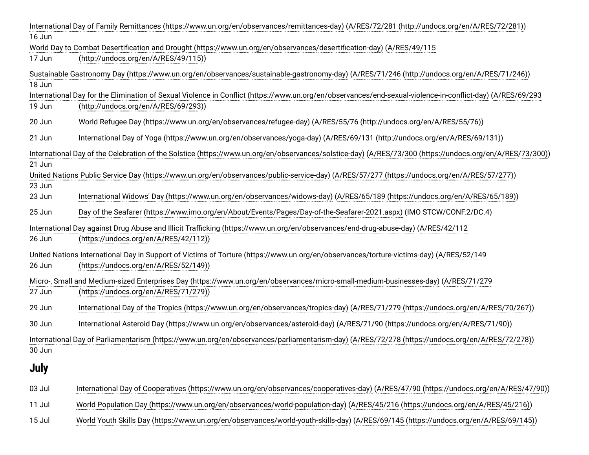|             | International Day of Family Remittances (https://www.un.org/en/observances/remittances-day) (A/RES/72/281 (http://undocs.org/en/A/RES/72/281))             |
|-------------|------------------------------------------------------------------------------------------------------------------------------------------------------------|
| 16 Jun      |                                                                                                                                                            |
|             | World Day to Combat Desertification and Drought (https://www.un.org/en/observances/desertification-day) (A/RES/49/115                                      |
| 17 Jun      | (http://undocs.org/en/A/RES/49/115))                                                                                                                       |
|             | Sustainable Gastronomy Day (https://www.un.org/en/observances/sustainable-gastronomy-day) (A/RES/71/246 (http://undocs.org/en/A/RES/71/246))               |
| 18 Jun      |                                                                                                                                                            |
|             | International Day for the Elimination of Sexual Violence in Conflict (https://www.un.org/en/observances/end-sexual-violence-in-conflict-day) (A/RES/69/293 |
| 19 Jun      | (http://undocs.org/en/A/RES/69/293))                                                                                                                       |
| 20 Jun      | World Refugee Day (https://www.un.org/en/observances/refugee-day) (A/RES/55/76 (http://undocs.org/en/A/RES/55/76))                                         |
| 21 Jun      | International Day of Yoga (https://www.un.org/en/observances/yoga-day) (A/RES/69/131 (http://undocs.org/en/A/RES/69/131))                                  |
|             | International Day of the Celebration of the Solstice (https://www.un.org/en/observances/solstice-day) (A/RES/73/300 (https://undocs.org/en/A/RES/73/300))  |
| 21 Jun      |                                                                                                                                                            |
|             | United Nations Public Service Day (https://www.un.org/en/observances/public-service-day) (A/RES/57/277 (https://undocs.org/en/A/RES/57/277))               |
| 23 Jun      |                                                                                                                                                            |
| 23 Jun      | International Widows' Day (https://www.un.org/en/observances/widows-day) (A/RES/65/189 (https://undocs.org/en/A/RES/65/189))                               |
| 25 Jun      | Day of the Seafarer (https://www.imo.org/en/About/Events/Pages/Day-of-the-Seafarer-2021.aspx) (IMO STCW/CONF.2/DC.4)                                       |
|             | International Day against Drug Abuse and Illicit Trafficking (https://www.un.org/en/observances/end-drug-abuse-day) (A/RES/42/112                          |
| 26 Jun      | (https://undocs.org/en/A/RES/42/112))                                                                                                                      |
|             | United Nations International Day in Support of Victims of Torture (https://www.un.org/en/observances/torture-victims-day) (A/RES/52/149                    |
| 26 Jun      | (https://undocs.org/en/A/RES/52/149))                                                                                                                      |
|             | Micro-, Small and Medium-sized Enterprises Day (https://www.un.org/en/observances/micro-small-medium-businesses-day) (A/RES/71/279                         |
| 27 Jun      | (https://undocs.org/en/A/RES/71/279))                                                                                                                      |
| 29 Jun      | International Day of the Tropics (https://www.un.org/en/observances/tropics-day) (A/RES/71/279 (https://undocs.org/en/A/RES/70/267))                       |
| 30 Jun      | International Asteroid Day (https://www.un.org/en/observances/asteroid-day) (A/RES/71/90 (https://undocs.org/en/A/RES/71/90))                              |
|             | International Day of Parliamentarism (https://www.un.org/en/observances/parliamentarism-day) (A/RES/72/278 (https://undocs.org/en/A/RES/72/278))           |
| 30 Jun      |                                                                                                                                                            |
| <b>July</b> |                                                                                                                                                            |
| 03 Jul      | International Day of Cooperatives (https://www.un.org/en/observances/cooperatives-day) (A/RES/47/90 (https://undocs.org/en/A/RES/47/90))                   |
| 11 Jul      | World Population Day (https://www.un.org/en/observances/world-population-day) (A/RES/45/216 (https://undocs.org/en/A/RES/45/216))                          |
| 15 Jul      | World Youth Skills Day (https://www.un.org/en/observances/world-youth-skills-day) (A/RES/69/145 (https://undocs.org/en/A/RES/69/145))                      |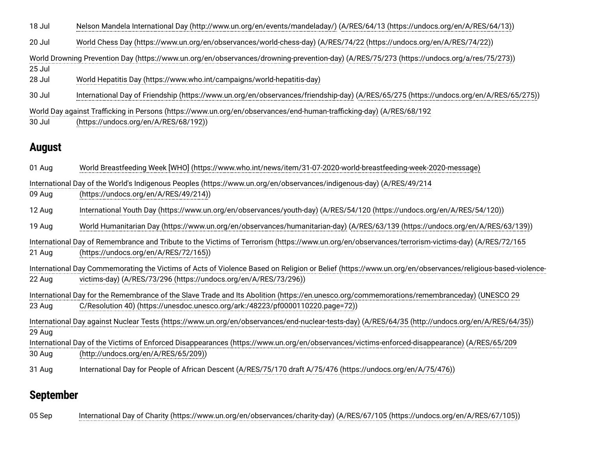18 Jul [Nelson Mandela International Day \(http://www.un.org/en/events/mandeladay/\)](http://www.un.org/en/events/mandeladay/) ([A/RES/64/13 \(https://undocs.org/en/A/RES/64/13\)](https://undocs.org/en/A/RES/64/13))

20 Jul [World Chess Day \(https://www.un.org/en/observances/world-chess-day\)](https://www.un.org/en/observances/world-chess-day) ([A/RES/74/22 \(https://undocs.org/en/A/RES/74/22\)\)](https://undocs.org/en/A/RES/74/22)

25 Jul [World Drowning Prevention Day \(https://www.un.org/en/observances/drowning-prevention-day\)](https://www.un.org/en/observances/drowning-prevention-day) ([A/RES/75/273 \(https://undocs.org/a/res/75/273\)\)](https://undocs.org/a/res/75/273)

28 Jul [World Hepatitis Day \(https://www.who.int/campaigns/world-hepatitis-day\)](https://www.who.int/campaigns/world-hepatitis-day)

30 Jul [International Day of Friendship \(https://www.un.org/en/observances/friendship-day\)](https://www.un.org/en/observances/friendship-day) ([A/RES/65/275 \(https://undocs.org/en/A/RES/65/275\)\)](https://undocs.org/en/A/RES/65/275)

[World Day against Trafficking in Persons \(https://www.un.org/en/observances/end-human-trafficking-day\)](https://www.un.org/en/observances/end-human-trafficking-day) (A/RES/68/192

30 Jul (https://undocs.org/en/A/RES/68/192))

## **August**

01 Aug 09 Aug 12 Aug 19 Aug 21 Aug 22 Aug 23 Aug 30 Aug 31 Aug 29 Aug [World Breastfeeding Week \[WHO\] \(https://www.who.int/news/item/31-07-2020-world-breastfeeding-week-2020-message\)](https://www.who.int/news/item/31-07-2020-world-breastfeeding-week-2020-message) [International Day of the World's Indigenous Peoples \(https://www.un.org/en/observances/indigenous-day](https://www.un.org/en/observances/indigenous-day)[\)](https://undocs.org/en/A/RES/49/214) (A/RES/49/214 (https://undocs.org/en/A/RES/49/214)) [International Youth Day \(https://www.un.org/en/observances/youth-day\)](https://www.un.org/en/observances/youth-day) ([A/RES/54/120 \(https://undocs.org/en/A/RES/54/120\)\)](https://undocs.org/en/A/RES/54/120) [World Humanitarian Day \(https://www.un.org/en/observances/humanitarian-day\)](https://www.un.org/en/observances/humanitarian-day) [\(A/RES/63/139 \(https://undocs.org/en/A/RES/63/139\)\)](https://undocs.org/en/A/RES/63/139) [International Day of Remembrance and Tribute to the Victims of Terrorism \(https://www.un.org/en/observances/terrorism-victims-day](https://www.un.org/en/observances/terrorism-victims-day)[\)](https://undocs.org/en/A/RES/72/165) (A/RES/72/165 (https://undocs.org/en/A/RES/72/165)) [International Day Commemorating the Victims of Acts of Violence Based on Religion or Belief \(https://www.un.org/en/observances/religious-based-violence](https://www.un.org/en/observances/religious-based-violence-victims-day)victims-day) ([A/RES/73/296 \(https://undocs.org/en/A/RES/73/296\)](https://undocs.org/en/A/RES/73/296)) [International Day for the Remembrance of the Slave Trade and Its Abolition \(https://en.unesco.org/commemorations/remembranceday](https://en.unesco.org/commemorations/remembranceday)[\)](https://unesdoc.unesco.org/ark:/48223/pf0000110220.page=72) (UNESCO 29 C/Resolution 40) (https://unesdoc.unesco.org/ark:/48223/pf0000110220.page=72)) [International Day against Nuclear Tests \(https://www.un.org/en/observances/end-nuclear-tests-day\)](https://www.un.org/en/observances/end-nuclear-tests-day) [\(A/RES/64/35 \(http://undocs.org/en/A/RES/64/35\)](http://undocs.org/en/A/RES/64/35)) [International Day of the Victims of Enforced Disappearances \(https://www.un.org/en/observances/victims-enforced-disappearance\)](https://www.un.org/en/observances/victims-enforced-disappearance) (A/RES/65/209 (http://undocs.org/en/A/RES/65/209)) International Day for People of African Descent ([A/RES/75/170 draft A/75/476 \(https://undocs.org/en/A/75/476\)](https://undocs.org/en/A/75/476))

## **September**

05 Sep [International Day of Charity \(https://www.un.org/en/observances/charity-day\)](https://www.un.org/en/observances/charity-day) ([A/RES/67/105 \(https://undocs.org/en/A/RES/67/105\)](https://undocs.org/en/A/RES/67/105))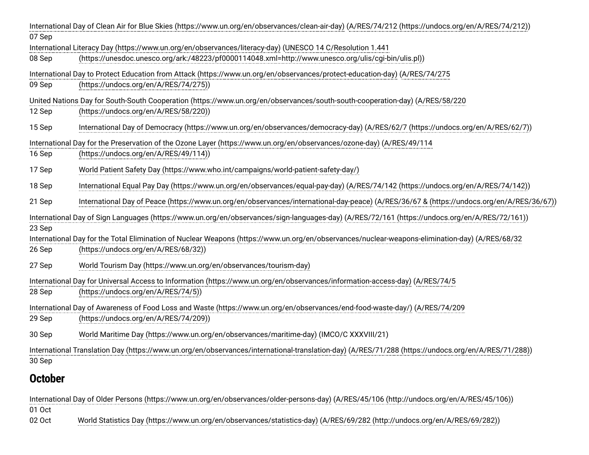|                | International Day of Clean Air for Blue Skies (https://www.un.org/en/observances/clean-air-day) (A/RES/74/212 (https://undocs.org/en/A/RES/74/212))                 |
|----------------|---------------------------------------------------------------------------------------------------------------------------------------------------------------------|
| 07 Sep         |                                                                                                                                                                     |
|                | International Literacy Day (https://www.un.org/en/observances/literacy-day) (UNESCO 14 C/Resolution 1.441                                                           |
| 08 Sep         | (https://unesdoc.unesco.org/ark:/48223/pf0000114048.xml=http://www.unesco.org/ulis/cgi-bin/ulis.pl))                                                                |
| 09 Sep         | International Day to Protect Education from Attack (https://www.un.org/en/observances/protect-education-day) (A/RES/74/275<br>(https://undocs.org/en/A/RES/74/275)) |
|                | United Nations Day for South-South Cooperation (https://www.un.org/en/observances/south-south-cooperation-day) (A/RES/58/220                                        |
| 12 Sep         | (https://undocs.org/en/A/RES/58/220))                                                                                                                               |
| 15 Sep         | International Day of Democracy (https://www.un.org/en/observances/democracy-day) (A/RES/62/7 (https://undocs.org/en/A/RES/62/7))                                    |
|                | International Day for the Preservation of the Ozone Layer (https://www.un.org/en/observances/ozone-day) (A/RES/49/114                                               |
| 16 Sep         | (https://undocs.org/en/A/RES/49/114))                                                                                                                               |
| 17 Sep         | World Patient Safety Day (https://www.who.int/campaigns/world-patient-safety-day/)                                                                                  |
| 18 Sep         | International Equal Pay Day (https://www.un.org/en/observances/equal-pay-day) (A/RES/74/142 (https://undocs.org/en/A/RES/74/142))                                   |
| 21 Sep         | International Day of Peace (https://www.un.org/en/observances/international-day-peace) (A/RES/36/67 & (https://undocs.org/en/A/RES/36/67))                          |
| 23 Sep         | International Day of Sign Languages (https://www.un.org/en/observances/sign-languages-day) (A/RES/72/161 (https://undocs.org/en/A/RES/72/161))                      |
|                | International Day for the Total Elimination of Nuclear Weapons (https://www.un.org/en/observances/nuclear-weapons-elimination-day) (A/RES/68/32                     |
| 26 Sep         | (https://undocs.org/en/A/RES/68/32))                                                                                                                                |
| 27 Sep         | World Tourism Day (https://www.un.org/en/observances/tourism-day)                                                                                                   |
|                | International Day for Universal Access to Information (https://www.un.org/en/observances/information-access-day) (A/RES/74/5                                        |
| 28 Sep         | (https://undocs.org/en/A/RES/74/5))                                                                                                                                 |
|                | International Day of Awareness of Food Loss and Waste (https://www.un.org/en/observances/end-food-waste-day/) (A/RES/74/209                                         |
| 29 Sep         | (https://undocs.org/en/A/RES/74/209))                                                                                                                               |
| 30 Sep         | World Maritime Day (https://www.un.org/en/observances/maritime-day) (IMCO/C XXXVIII/21)                                                                             |
|                | International Translation Day (https://www.un.org/en/observances/international-translation-day) (A/RES/71/288 (https://undocs.org/en/A/RES/71/288))                 |
| 30 Sep         |                                                                                                                                                                     |
| <b>October</b> |                                                                                                                                                                     |
|                | International Day of Older Persons (https://www.un.org/en/observances/older-persons-day) (A/RES/45/106 (http://undocs.org/en/A/RES/45/106))                         |
| 01 Oct         |                                                                                                                                                                     |
| 02 Oct         | World Statistics Day (https://www.un.org/en/observances/statistics-day) (A/RES/69/282 (http://undocs.org/en/A/RES/69/282))                                          |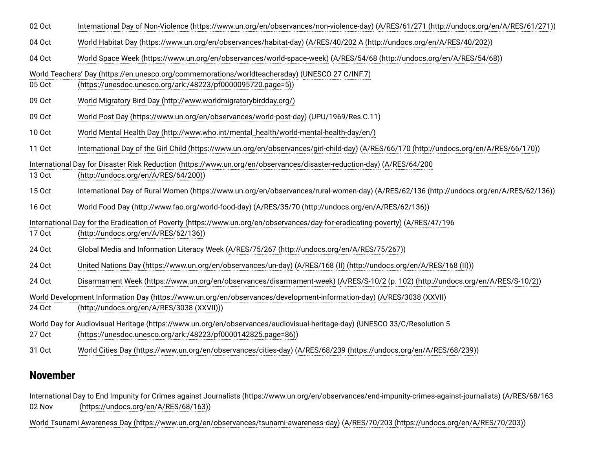| 02 Oct                                                                                                                                                                                               | International Day of Non-Violence (https://www.un.org/en/observances/non-violence-day) (A/RES/61/271 (http://undocs.org/en/A/RES/61/271))                       |
|------------------------------------------------------------------------------------------------------------------------------------------------------------------------------------------------------|-----------------------------------------------------------------------------------------------------------------------------------------------------------------|
| 04 Oct                                                                                                                                                                                               | World Habitat Day (https://www.un.org/en/observances/habitat-day) (A/RES/40/202 A (http://undocs.org/en/A/RES/40/202))                                          |
| 04 Oct                                                                                                                                                                                               | World Space Week (https://www.un.org/en/observances/world-space-week) (A/RES/54/68 (http://undocs.org/en/A/RES/54/68))                                          |
| 05 Oct                                                                                                                                                                                               | World Teachers' Day (https://en.unesco.org/commemorations/worldteachersday) (UNESCO 27 C/INF.7)<br>(https://unesdoc.unesco.org/ark:/48223/pf0000095720.page=5)) |
| 09 Oct                                                                                                                                                                                               | World Migratory Bird Day (http://www.worldmigratorybirdday.org/)                                                                                                |
| 09 Oct                                                                                                                                                                                               | World Post Day (https://www.un.org/en/observances/world-post-day) (UPU/1969/Res.C.11)                                                                           |
| 10 Oct                                                                                                                                                                                               | World Mental Health Day (http://www.who.int/mental_health/world-mental-health-day/en/)                                                                          |
| 11 Oct                                                                                                                                                                                               | International Day of the Girl Child (https://www.un.org/en/observances/girl-child-day) (A/RES/66/170 (http://undocs.org/en/A/RES/66/170))                       |
|                                                                                                                                                                                                      | International Day for Disaster Risk Reduction (https://www.un.org/en/observances/disaster-reduction-day) (A/RES/64/200                                          |
| 13 Oct                                                                                                                                                                                               | (http://undocs.org/en/A/RES/64/200))                                                                                                                            |
| 15 Oct                                                                                                                                                                                               | International Day of Rural Women (https://www.un.org/en/observances/rural-women-day) (A/RES/62/136 (http://undocs.org/en/A/RES/62/136))                         |
| 16 Oct                                                                                                                                                                                               | World Food Day (http://www.fao.org/world-food-day) (A/RES/35/70 (http://undocs.org/en/A/RES/62/136))                                                            |
|                                                                                                                                                                                                      | International Day for the Eradication of Poverty (https://www.un.org/en/observances/day-for-eradicating-poverty) (A/RES/47/196                                  |
| 17 Oct                                                                                                                                                                                               | (http://undocs.org/en/A/RES/62/136))                                                                                                                            |
| 24 Oct                                                                                                                                                                                               | Global Media and Information Literacy Week (A/RES/75/267 (http://undocs.org/en/A/RES/75/267))                                                                   |
| 24 Oct                                                                                                                                                                                               | United Nations Day (https://www.un.org/en/observances/un-day) (A/RES/168 (II) (http://undocs.org/en/A/RES/168 (II)))                                            |
| 24 Oct                                                                                                                                                                                               | Disarmament Week (https://www.un.org/en/observances/disarmament-week) (A/RES/S-10/2 (p. 102) (http://undocs.org/en/A/RES/S-10/2))                               |
| World Development Information Day (https://www.un.org/en/observances/development-information-day) (A/RES/3038 (XXVII)                                                                                |                                                                                                                                                                 |
| 24 Oct                                                                                                                                                                                               | (http://undocs.org/en/A/RES/3038 (XXVII)))                                                                                                                      |
| World Day for Audiovisual Heritage (https://www.un.org/en/observances/audiovisual-heritage-day) (UNESCO 33/C/Resolution 5<br>27 Oct<br>(https://unesdoc.unesco.org/ark:/48223/pf0000142825.page=86)) |                                                                                                                                                                 |
| 31 Oct                                                                                                                                                                                               | World Cities Day (https://www.un.org/en/observances/cities-day) (A/RES/68/239 (https://undocs.org/en/A/RES/68/239))                                             |
|                                                                                                                                                                                                      |                                                                                                                                                                 |

### **November**

02 Nov [International Day to End Impunity for Crimes against Journalists \(https://www.un.org/en/observances/end-impunity-crimes-against-journalists\)](https://www.un.org/en/observances/end-impunity-crimes-against-journalists) (A/RES/68/163 (https://undocs.org/en/A/RES/68/163))

[World Tsunami Awareness Day \(https://www.un.org/en/observances/tsunami-awareness-day\)](https://www.un.org/en/observances/tsunami-awareness-day) [\(A/RES/70/203 \(https://undocs.org/en/A/RES/70/203\)\)](https://undocs.org/en/A/RES/70/203)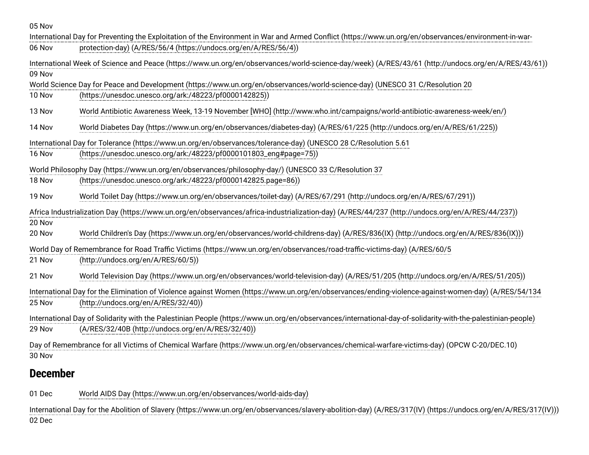05 Nov

| International Day for Preventing the Exploitation of the Environment in War and Armed Conflict (https://www.un.org/en/observances/environment-in-war-         |                                                                                                                                                  |  |
|---------------------------------------------------------------------------------------------------------------------------------------------------------------|--------------------------------------------------------------------------------------------------------------------------------------------------|--|
| 06 Nov                                                                                                                                                        | protection-day) (A/RES/56/4 (https://undocs.org/en/A/RES/56/4))                                                                                  |  |
| International Week of Science and Peace (https://www.un.org/en/observances/world-science-day/week) (A/RES/43/61 (http://undocs.org/en/A/RES/43/61))<br>09 Nov |                                                                                                                                                  |  |
|                                                                                                                                                               | World Science Day for Peace and Development (https://www.un.org/en/observances/world-science-day) (UNESCO 31 C/Resolution 20                     |  |
|                                                                                                                                                               |                                                                                                                                                  |  |
| 10 Nov                                                                                                                                                        | (https://unesdoc.unesco.org/ark:/48223/pf0000142825))                                                                                            |  |
| 13 Nov                                                                                                                                                        | World Antibiotic Awareness Week, 13-19 November [WHO] (http://www.who.int/campaigns/world-antibiotic-awareness-week/en/)                         |  |
| 14 Nov                                                                                                                                                        | World Diabetes Day (https://www.un.org/en/observances/diabetes-day) (A/RES/61/225 (http://undocs.org/en/A/RES/61/225))                           |  |
|                                                                                                                                                               | International Day for Tolerance (https://www.un.org/en/observances/tolerance-day) (UNESCO 28 C/Resolution 5.61                                   |  |
| 16 Nov                                                                                                                                                        | (https://unesdoc.unesco.org/ark:/48223/pf0000101803_eng#page=75))                                                                                |  |
|                                                                                                                                                               |                                                                                                                                                  |  |
|                                                                                                                                                               | World Philosophy Day (https://www.un.org/en/observances/philosophy-day/) (UNESCO 33 C/Resolution 37                                              |  |
| 18 Nov                                                                                                                                                        | (https://unesdoc.unesco.org/ark:/48223/pf0000142825.page=86))                                                                                    |  |
|                                                                                                                                                               |                                                                                                                                                  |  |
| 19 Nov                                                                                                                                                        | World Toilet Day (https://www.un.org/en/observances/toilet-day) (A/RES/67/291 (http://undocs.org/en/A/RES/67/291))                               |  |
|                                                                                                                                                               | Africa Industrialization Day (https://www.un.org/en/observances/africa-industrialization-day) (A/RES/44/237 (http://undocs.org/en/A/RES/44/237)) |  |
| 20 Nov                                                                                                                                                        |                                                                                                                                                  |  |
| 20 Nov                                                                                                                                                        | World Children's Day (https://www.un.org/en/observances/world-childrens-day) (A/RES/836(IX) (http://undocs.org/en/A/RES/836(IX)))                |  |
|                                                                                                                                                               |                                                                                                                                                  |  |
|                                                                                                                                                               | World Day of Remembrance for Road Traffic Victims (https://www.un.org/en/observances/road-traffic-victims-day) (A/RES/60/5                       |  |
| 21 Nov                                                                                                                                                        | (http://undocs.org/en/A/RES/60/5))                                                                                                               |  |
|                                                                                                                                                               |                                                                                                                                                  |  |
| 21 Nov                                                                                                                                                        | World Television Day (https://www.un.org/en/observances/world-television-day) (A/RES/51/205 (http://undocs.org/en/A/RES/51/205))                 |  |
| International Day for the Elimination of Violence against Women (https://www.un.org/en/observances/ending-violence-against-women-day) (A/RES/54/134           |                                                                                                                                                  |  |
| 25 Nov                                                                                                                                                        | (http://undocs.org/en/A/RES/32/40))                                                                                                              |  |
|                                                                                                                                                               |                                                                                                                                                  |  |
| International Day of Solidarity with the Palestinian People (https://www.un.org/en/observances/international-day-of-solidarity-with-the-palestinian-people)   |                                                                                                                                                  |  |
| 29 Nov                                                                                                                                                        | (A/RES/32/40B (http://undocs.org/en/A/RES/32/40))                                                                                                |  |
|                                                                                                                                                               |                                                                                                                                                  |  |
| Day of Remembrance for all Victims of Chemical Warfare (https://www.un.org/en/observances/chemical-warfare-victims-day) (OPCW C-20/DEC.10)                    |                                                                                                                                                  |  |
| 30 Nov                                                                                                                                                        |                                                                                                                                                  |  |

## **December**

01 Dec [World AIDS Day \(https://www.un.org/en/observances/world-aids-day\)](https://www.un.org/en/observances/world-aids-day)

02 Dec [International Day for the Abolition of Slavery \(https://www.un.org/en/observances/slavery-abolition-day\)](https://www.un.org/en/observances/slavery-abolition-day) ([A/RES/317\(IV\) \(https://undocs.org/en/A/RES/317\(IV\)\)](https://undocs.org/en/A/RES/317(IV)))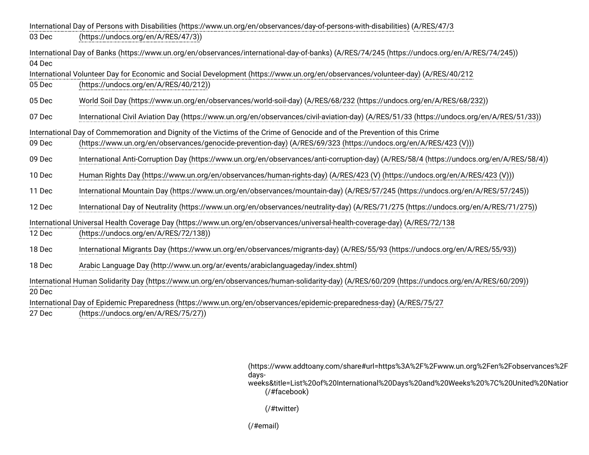| International Day of Persons with Disabilities (https://www.un.org/en/observances/day-of-persons-with-disabilities) (A/RES/47/3                         |                                                                                                                                           |  |
|---------------------------------------------------------------------------------------------------------------------------------------------------------|-------------------------------------------------------------------------------------------------------------------------------------------|--|
| 03 Dec                                                                                                                                                  | (https://undocs.org/en/A/RES/47/3))                                                                                                       |  |
| International Day of Banks (https://www.un.org/en/observances/international-day-of-banks) (A/RES/74/245 (https://undocs.org/en/A/RES/74/245))<br>04 Dec |                                                                                                                                           |  |
|                                                                                                                                                         | International Volunteer Day for Economic and Social Development (https://www.un.org/en/observances/volunteer-day) (A/RES/40/212           |  |
| 05 Dec                                                                                                                                                  | (https://undocs.org/en/A/RES/40/212))                                                                                                     |  |
| 05 Dec                                                                                                                                                  | World Soil Day (https://www.un.org/en/observances/world-soil-day) (A/RES/68/232 (https://undocs.org/en/A/RES/68/232))                     |  |
| 07 Dec                                                                                                                                                  | International Civil Aviation Day (https://www.un.org/en/observances/civil-aviation-day) (A/RES/51/33 (https://undocs.org/en/A/RES/51/33)) |  |
|                                                                                                                                                         | International Day of Commemoration and Dignity of the Victims of the Crime of Genocide and of the Prevention of this Crime                |  |
| 09 Dec                                                                                                                                                  | (https://www.un.org/en/observances/genocide-prevention-day) (A/RES/69/323 (https://undocs.org/en/A/RES/423 (V)))                          |  |
| 09 Dec                                                                                                                                                  | International Anti-Corruption Day (https://www.un.org/en/observances/anti-corruption-day) (A/RES/58/4 (https://undocs.org/en/A/RES/58/4)) |  |
| 10 Dec                                                                                                                                                  | Human Rights Day (https://www.un.org/en/observances/human-rights-day) (A/RES/423 (V) (https://undocs.org/en/A/RES/423 (V)))               |  |
| 11 Dec                                                                                                                                                  | International Mountain Day (https://www.un.org/en/observances/mountain-day) (A/RES/57/245 (https://undocs.org/en/A/RES/57/245))           |  |
| 12 Dec                                                                                                                                                  | International Day of Neutrality (https://www.un.org/en/observances/neutrality-day) (A/RES/71/275 (https://undocs.org/en/A/RES/71/275))    |  |
|                                                                                                                                                         | International Universal Health Coverage Day (https://www.un.org/en/observances/universal-health-coverage-day) (A/RES/72/138               |  |
| 12 Dec                                                                                                                                                  | (https://undocs.org/en/A/RES/72/138))                                                                                                     |  |
| 18 Dec                                                                                                                                                  | International Migrants Day (https://www.un.org/en/observances/migrants-day) (A/RES/55/93 (https://undocs.org/en/A/RES/55/93))             |  |
| 18 Dec                                                                                                                                                  | Arabic Language Day (http://www.un.org/ar/events/arabiclanguageday/index.shtml)                                                           |  |
| International Human Solidarity Day (https://www.un.org/en/observances/human-solidarity-day) (A/RES/60/209 (https://undocs.org/en/A/RES/60/209))         |                                                                                                                                           |  |
| 20 Dec                                                                                                                                                  |                                                                                                                                           |  |
| International Day of Epidemic Preparedness (https://www.un.org/en/observances/epidemic-preparedness-day) (A/RES/75/27                                   |                                                                                                                                           |  |
| 27 Dec                                                                                                                                                  | (https://undocs.org/en/A/RES/75/27))                                                                                                      |  |

(https://www.addtoany.com/share#url=https%3A%2F%2Fwww.un.org%2Fen%2Fobservances%2F days-

[weeks&title=List%20of%20International%20Days%20and%20Weeks%20%7C%20United%20Nation](https://www.addtoany.com/share#url=https%3A%2F%2Fwww.un.org%2Fen%2Fobservances%2Flist-days-weeks&title=List%20of%20International%20Days%20and%20Weeks%20%7C%20United%20Nations) [\(/#facebook\)](https://www.un.org/#facebook)

[\(/#twitter\)](https://www.un.org/#twitter)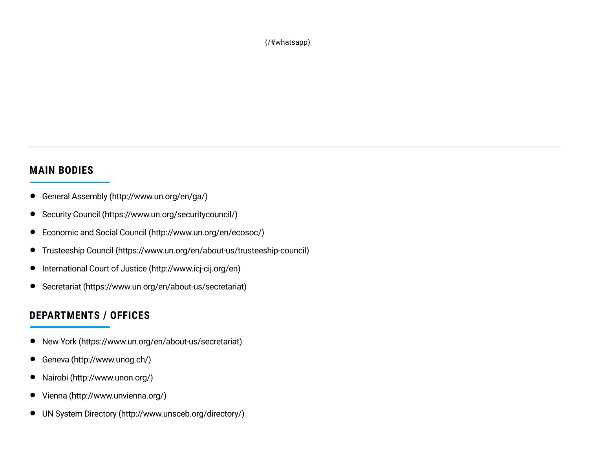[\(/#whatsapp\)](https://www.un.org/#whatsapp)

#### **MAIN BODIES**

- General Assembly [\(http://www.un.org/en/ga/\)](http://www.un.org/en/ga/)
- Security Council [\(https://www.un.org/securitycouncil/\)](https://www.un.org/securitycouncil/)
- Economic and Social Council [\(http://www.un.org/en/ecosoc/\)](http://www.un.org/en/ecosoc/)
- Trusteeship Council [\(https://www.un.org/en/about-us/trusteeship-council\)](https://www.un.org/en/about-us/trusteeship-council)
- International Court of Justice [\(http://www.icj-cij.org/en\)](http://www.icj-cij.org/en)
- Secretariat [\(https://www.un.org/en/about-us/secretariat\)](https://www.un.org/en/about-us/secretariat)

#### **DEPARTMENTS / OFFICES**

- New York [\(https://www.un.org/en/about-us/secretariat\)](https://www.un.org/en/about-us/secretariat)
- Geneva [\(http://www.unog.ch/\)](http://www.unog.ch/)
- Nairobi [\(http://www.unon.org/\)](http://www.unon.org/)
- Vienna [\(http://www.unvienna.org/\)](http://www.unvienna.org/)
- UN System Directory [\(http://www.unsceb.org/directory/\)](http://www.unsceb.org/directory/)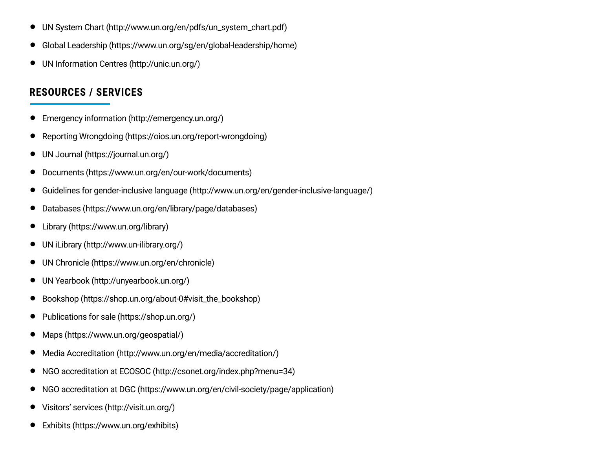- UN System Chart [\(http://www.un.org/en/pdfs/un\\_system\\_chart.pdf\)](http://www.un.org/en/pdfs/un_system_chart.pdf)
- Global Leadership [\(https://www.un.org/sg/en/global-leadership/home\)](https://www.un.org/sg/en/global-leadership/home)
- UN Information Centres [\(http://unic.un.org/\)](http://unic.un.org/)

#### **RESOURCES / SERVICES**

- Emergency information [\(http://emergency.un.org/\)](http://emergency.un.org/)
- Reporting Wrongdoing [\(https://oios.un.org/report-wrongdoing\)](https://oios.un.org/report-wrongdoing)
- UN Journal [\(https://journal.un.org/\)](https://journal.un.org/)
- Documents [\(https://www.un.org/en/our-work/documents\)](https://www.un.org/en/our-work/documents)
- Guidelines for gender-inclusive language [\(http://www.un.org/en/gender-inclusive-language/\)](http://www.un.org/en/gender-inclusive-language/)
- Databases [\(https://www.un.org/en/library/page/databases\)](https://www.un.org/en/library/page/databases)
- Library [\(https://www.un.org/library\)](https://www.un.org/library)
- UN iLibrary [\(http://www.un-ilibrary.org/\)](http://www.un-ilibrary.org/)
- UN Chronicle [\(https://www.un.org/en/chronicle\)](https://www.un.org/en/chronicle)
- UN Yearbook [\(http://unyearbook.un.org/\)](http://unyearbook.un.org/)
- Bookshop [\(https://shop.un.org/about-0#visit\\_the\\_bookshop\)](https://shop.un.org/about-0#visit_the_bookshop)
- Publications for sale [\(https://shop.un.org/\)](https://shop.un.org/)
- Maps [\(https://www.un.org/geospatial/\)](https://www.un.org/geospatial/)
- Media Accreditation [\(http://www.un.org/en/media/accreditation/\)](http://www.un.org/en/media/accreditation/)
- NGO accreditation at ECOSOC [\(http://csonet.org/index.php?menu=34\)](http://csonet.org/index.php?menu=34)
- NGO accreditation at DGC [\(https://www.un.org/en/civil-society/page/application\)](https://www.un.org/en/civil-society/page/application)
- Visitors' services [\(http://visit.un.org/\)](http://visit.un.org/)
- Exhibits [\(https://www.un.org/exhibits\)](https://www.un.org/exhibits)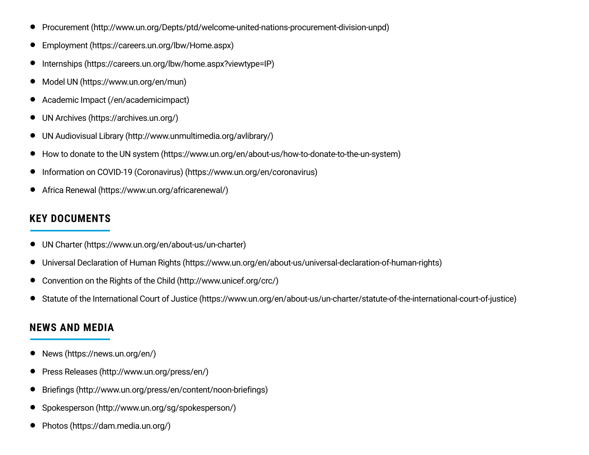- Procurement [\(http://www.un.org/Depts/ptd/welcome-united-nations-procurement-division-unpd\)](http://www.un.org/Depts/ptd/welcome-united-nations-procurement-division-unpd)
- Employment [\(https://careers.un.org/lbw/Home.aspx\)](https://careers.un.org/lbw/Home.aspx)
- Internships [\(https://careers.un.org/lbw/home.aspx?viewtype=IP\)](https://careers.un.org/lbw/home.aspx?viewtype=IP)
- Model UN [\(https://www.un.org/en/mun\)](https://www.un.org/en/mun)
- Academic Impact [\(/en/academicimpact\)](https://www.un.org/en/academicimpact)
- UN Archives [\(https://archives.un.org/\)](https://archives.un.org/)
- UN Audiovisual Library [\(http://www.unmultimedia.org/avlibrary/\)](http://www.unmultimedia.org/avlibrary/)
- How to donate to the UN system [\(https://www.un.org/en/about-us/how-to-donate-to-the-un-system\)](https://www.un.org/en/about-us/how-to-donate-to-the-un-system)
- Information on COVID-19 (Coronavirus) [\(https://www.un.org/en/coronavirus\)](https://www.un.org/en/coronavirus)
- Africa Renewal [\(https://www.un.org/africarenewal/\)](https://www.un.org/africarenewal/)

#### **KEY DOCUMENTS**

- UN Charter [\(https://www.un.org/en/about-us/un-charter\)](https://www.un.org/en/about-us/un-charter)
- Universal Declaration of Human Rights [\(https://www.un.org/en/about-us/universal-declaration-of-human-rights\)](https://www.un.org/en/about-us/universal-declaration-of-human-rights)
- Convention on the Rights of the Child [\(http://www.unicef.org/crc/\)](http://www.unicef.org/crc/)
- Statute of the International Court of Justice [\(https://www.un.org/en/about-us/un-charter/statute-of-the-international-court-of-justice\)](https://www.un.org/en/about-us/un-charter/statute-of-the-international-court-of-justice)

#### **NEWS AND MEDIA**

- News [\(https://news.un.org/en/\)](https://news.un.org/en/)
- Press Releases [\(http://www.un.org/press/en/\)](http://www.un.org/press/en/)
- Briefings [\(http://www.un.org/press/en/content/noon-briefings\)](http://www.un.org/press/en/content/noon-briefings)
- Spokesperson [\(http://www.un.org/sg/spokesperson/\)](http://www.un.org/sg/spokesperson/)
- Photos [\(https://dam.media.un.org/\)](https://dam.media.un.org/)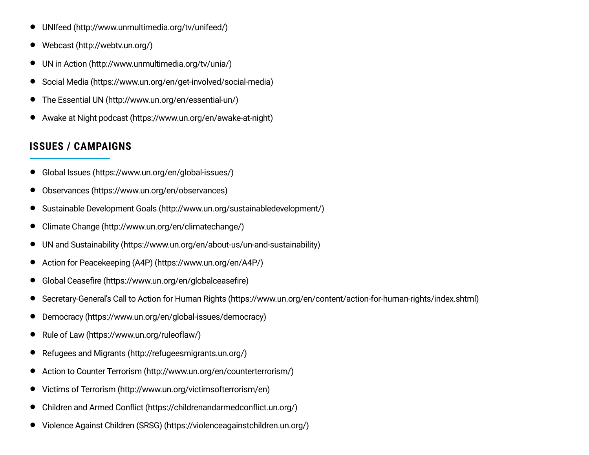- UNIfeed [\(http://www.unmultimedia.org/tv/unifeed/\)](http://www.unmultimedia.org/tv/unifeed/)
- Webcast [\(http://webtv.un.org/\)](http://webtv.un.org/)
- UN in Action [\(http://www.unmultimedia.org/tv/unia/\)](http://www.unmultimedia.org/tv/unia/)
- Social Media [\(https://www.un.org/en/get-involved/social-media\)](https://www.un.org/en/get-involved/social-media)
- The Essential UN [\(http://www.un.org/en/essential-un/\)](http://www.un.org/en/essential-un/)
- Awake at Night podcast [\(https://www.un.org/en/awake-at-night\)](https://www.un.org/en/awake-at-night)

#### **ISSUES / CAMPAIGNS**

- Global Issues [\(https://www.un.org/en/global-issues/\)](https://www.un.org/en/global-issues/)
- Observances [\(https://www.un.org/en/observances\)](https://www.un.org/en/observances)
- Sustainable Development Goals [\(http://www.un.org/sustainabledevelopment/\)](http://www.un.org/sustainabledevelopment/)
- Climate Change [\(http://www.un.org/en/climatechange/\)](http://www.un.org/en/climatechange/)
- UN and Sustainability [\(https://www.un.org/en/about-us/un-and-sustainability\)](https://www.un.org/en/about-us/un-and-sustainability)
- Action for Peacekeeping (A4P) [\(https://www.un.org/en/A4P/\)](https://www.un.org/en/A4P/)
- Global Ceasefire [\(https://www.un.org/en/globalceasefire\)](https://www.un.org/en/globalceasefire)
- Secretary-General's Call to Action for Human Rights [\(https://www.un.org/en/content/action-for-human-rights/index.shtml\)](https://www.un.org/en/content/action-for-human-rights/index.shtml)
- Democracy [\(https://www.un.org/en/global-issues/democracy\)](https://www.un.org/en/global-issues/democracy)
- Rule of Law [\(https://www.un.org/ruleoflaw/\)](https://www.un.org/ruleoflaw/)
- Refugees and Migrants [\(http://refugeesmigrants.un.org/\)](http://refugeesmigrants.un.org/)
- Action to Counter Terrorism [\(http://www.un.org/en/counterterrorism/\)](http://www.un.org/en/counterterrorism/)
- Victims of Terrorism [\(http://www.un.org/victimsofterrorism/en\)](http://www.un.org/victimsofterrorism/en)
- Children and Armed Conflict [\(https://childrenandarmedconflict.un.org/\)](https://childrenandarmedconflict.un.org/)
- Violence Against Children (SRSG) [\(https://violenceagainstchildren.un.org/\)](https://violenceagainstchildren.un.org/)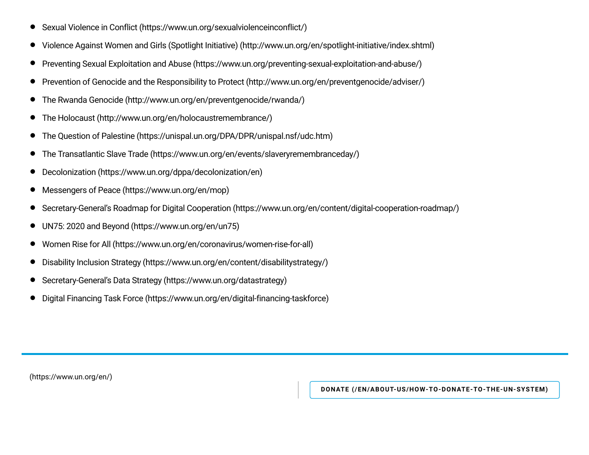- Sexual Violence in Conflict [\(https://www.un.org/sexualviolenceinconflict/\)](https://www.un.org/sexualviolenceinconflict/)
- Violence Against Women and Girls (Spotlight Initiative) [\(http://www.un.org/en/spotlight-initiative/index.shtml\)](http://www.un.org/en/spotlight-initiative/index.shtml)
- Preventing Sexual Exploitation and Abuse [\(https://www.un.org/preventing-sexual-exploitation-and-abuse/\)](https://www.un.org/preventing-sexual-exploitation-and-abuse/)
- Prevention of Genocide and the Responsibility to Protect [\(http://www.un.org/en/preventgenocide/adviser/\)](http://www.un.org/en/preventgenocide/adviser/)
- The Rwanda Genocide [\(http://www.un.org/en/preventgenocide/rwanda/\)](http://www.un.org/en/preventgenocide/rwanda/)
- The Holocaust [\(http://www.un.org/en/holocaustremembrance/\)](http://www.un.org/en/holocaustremembrance/)
- The Question of Palestine [\(https://unispal.un.org/DPA/DPR/unispal.nsf/udc.htm\)](https://unispal.un.org/DPA/DPR/unispal.nsf/udc.htm)
- The Transatlantic Slave Trade [\(https://www.un.org/en/events/slaveryremembranceday/\)](https://www.un.org/en/events/slaveryremembranceday/)
- Decolonization [\(https://www.un.org/dppa/decolonization/en\)](https://www.un.org/dppa/decolonization/en)
- Messengers of Peace [\(https://www.un.org/en/mop\)](https://www.un.org/en/mop)
- Secretary-General's Roadmap for Digital Cooperation [\(https://www.un.org/en/content/digital-cooperation-roadmap/\)](https://www.un.org/en/content/digital-cooperation-roadmap/)
- UN75: 2020 and Beyond [\(https://www.un.org/en/un75\)](https://www.un.org/en/un75)
- Women Rise for All [\(https://www.un.org/en/coronavirus/women-rise-for-all\)](https://www.un.org/en/coronavirus/women-rise-for-all)
- Disability Inclusion Strategy [\(https://www.un.org/en/content/disabilitystrategy/\)](https://www.un.org/en/content/disabilitystrategy/)
- Secretary-General's Data Strategy [\(https://www.un.org/datastrategy\)](https://www.un.org/datastrategy)
- Digital Financing Task Force [\(https://www.un.org/en/digital-financing-taskforce\)](https://www.un.org/en/digital-financing-taskforce)

[\(https://www.un.org/en/\)](https://www.un.org/en/)

**DONATE [\(/EN/ABOUT-US/HOW-TO-DONATE-TO-THE-UN-SYSTEM\)](https://www.un.org/en/about-us/how-to-donate-to-the-un-system)**